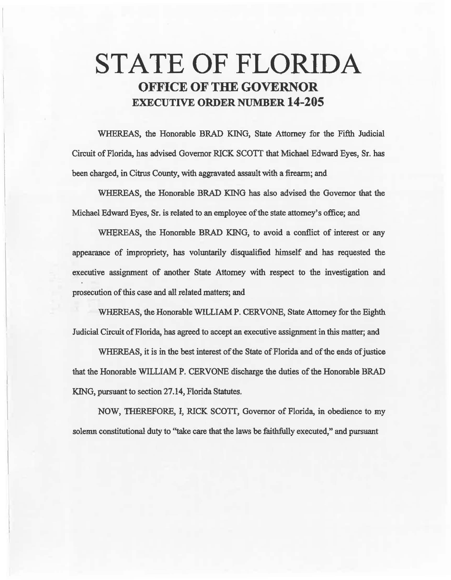# STATE OF FLORIDA OFFICE OF THE GOVERNOR EXECUTIVE ORDER NUMBER 14-205

WHEREAS, the Honorable BRAD KING, State Attorney for the Fifth Judicial Circuit of Florida, has advised Governor RICK SCOTI that Michael Edward Eyes, Sr. has been charged, in Citrus County, with aggravated assault with a firearm; and

WHEREAS, the Honorable BRAD KING has also advised the Governor that the Michael Edward Eyes, Sr. is related to an employee of the state attorney's office; and

WHEREAS, the Honorable BRAD KING, to avoid a conflict of interest or any appearance of impropriety, has vohmtarily disqualified himself and has requested the executive assignment of another State Attorney with respect to the investigation and prosecution of this case and all related matters; and

WHEREAS, the Honorable WILLIAM P. CERVONE, State Attorney for the Eighth fo.dicial Circuit of Florida, has agreed to accept an executive assignment in this matter; and

WHEREAS, it is in the best interest of the State of Florida and of the ends of justice that the Honorable WILLIAM P. CERVONE discharge the duties of the Honorable BRAD KING, pursuant to section 27.14, Florida Statutes.

NOW, THEREFORE, I, RICK SCOTI, Governor of Florida, in. obedience to my solemn constitutional duty to "take care that the laws be faithfully executed," and pursuant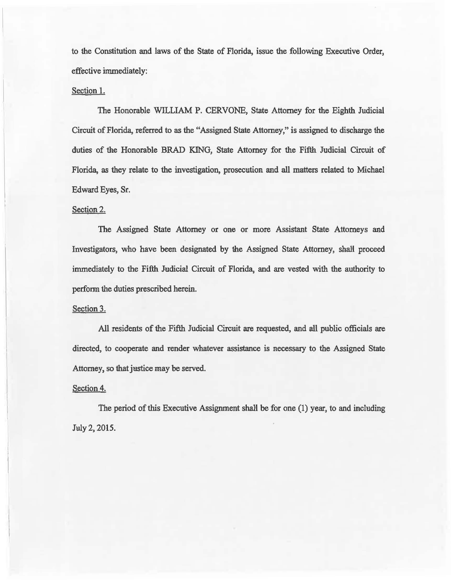to the Constitution and laws of the State of Florida, issue the following Executive Order, effective immediately:

### Section 1.

The Honorable WILLIAM P. CERVONE, State Attorney for the Eighth Judicial Circuit of Florida, referred to as the "Assigned State Attorney," is assigned to discharge the duties of the Honorable BRAD KING, State Attorney for the Fifth Judicial Circuit of Florida, as they relate to the investigation, prosecution and all matters related to Michael Edward Eyes, Sr.

### Section 2.

The Assigned State Attorney or one or more Assistant State Attorneys and Investigators, who have been designated by the Assigned State Attorney, shall proceed immediately to the Fifth Judicial Circuit of Florida, and are vested with the authority to perform the duties prescribed herein.

#### Section 3.

All residents of the Fifth Judicial Circwt are requested, and all public officials are directed, to cooperate and render whatever assistance is necessary to the Assigned State Attorney, so that justice may be served.

## Section 4.

The period of this Execative Assignment shall be for one (1) year, to and including July 2, 2015.